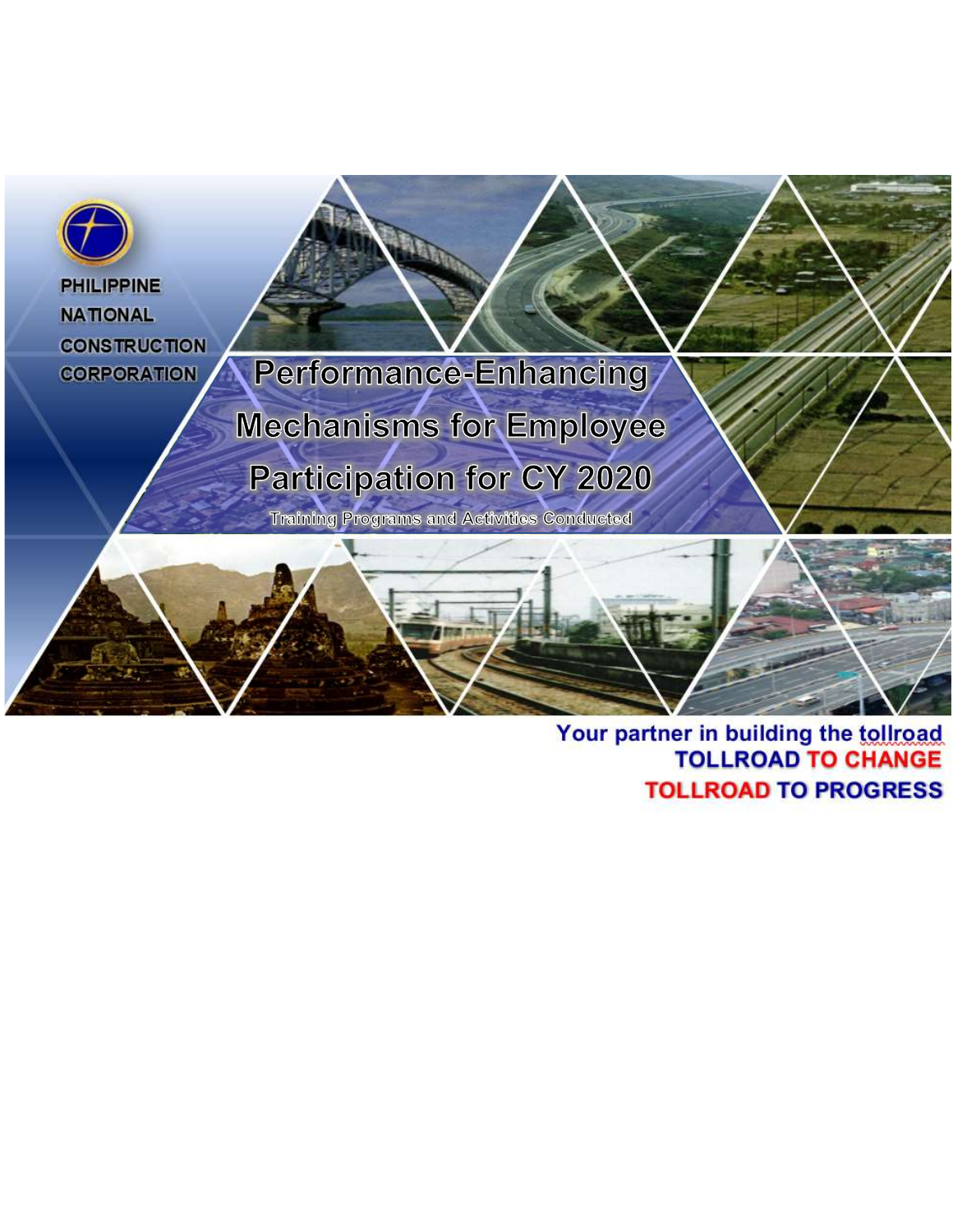

## Your partner in building the tollroad<br>TOLLROAD TO CHANGE **TOLLROAD TO PROGRESS**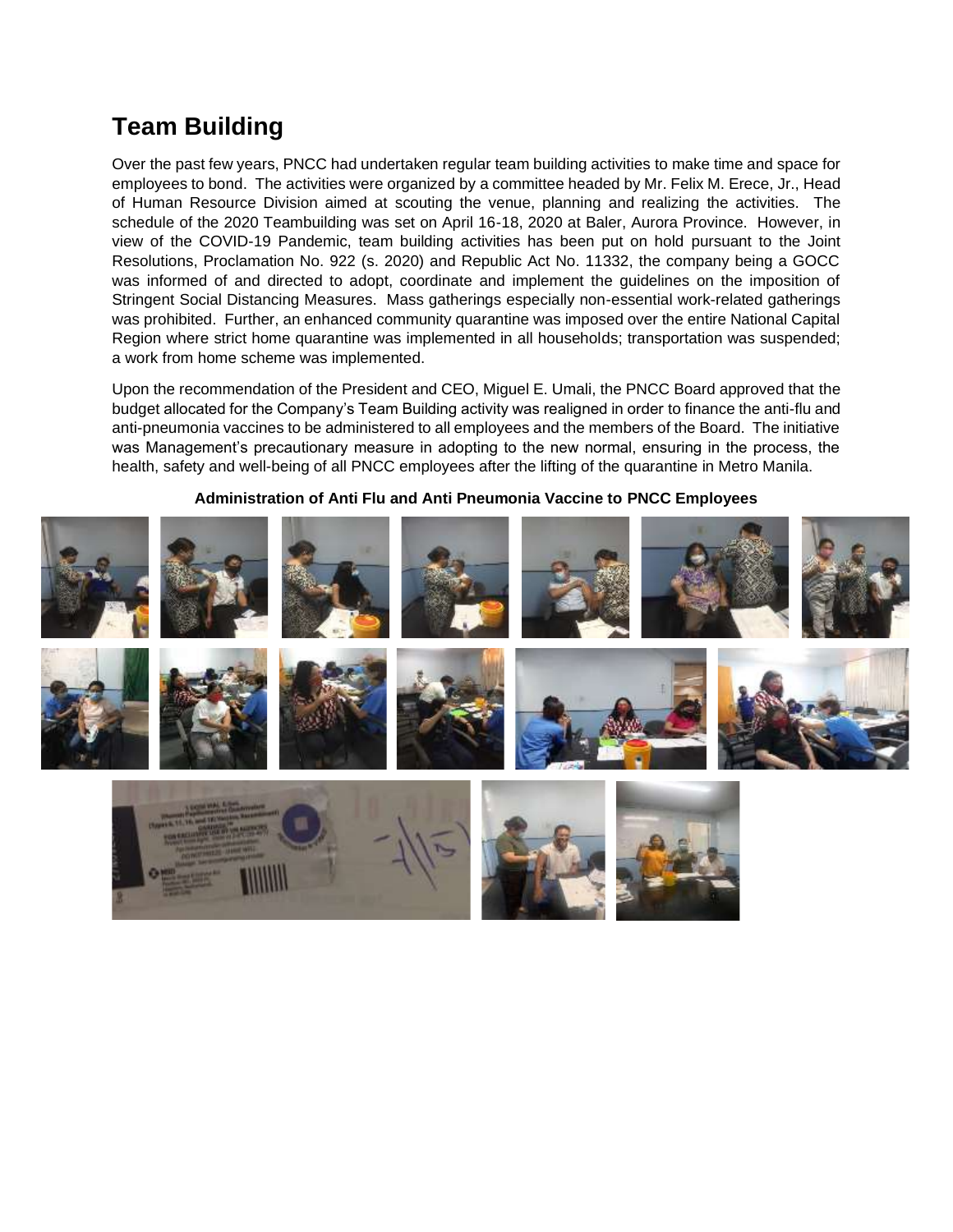## **Team Building**

Over the past few years, PNCC had undertaken regular team building activities to make time and space for employees to bond. The activities were organized by a committee headed by Mr. Felix M. Erece, Jr., Head of Human Resource Division aimed at scouting the venue, planning and realizing the activities. The schedule of the 2020 Teambuilding was set on April 16-18, 2020 at Baler, Aurora Province. However, in view of the COVID-19 Pandemic, team building activities has been put on hold pursuant to the Joint Resolutions, Proclamation No. 922 (s. 2020) and Republic Act No. 11332, the company being a GOCC was informed of and directed to adopt, coordinate and implement the guidelines on the imposition of Stringent Social Distancing Measures. Mass gatherings especially non-essential work-related gatherings was prohibited. Further, an enhanced community quarantine was imposed over the entire National Capital Region where strict home quarantine was implemented in all households; transportation was suspended; a work from home scheme was implemented.

Upon the recommendation of the President and CEO, Miguel E. Umali, the PNCC Board approved that the budget allocated for the Company's Team Building activity was realigned in order to finance the anti-flu and anti-pneumonia vaccines to be administered to all employees and the members of the Board. The initiative was Management's precautionary measure in adopting to the new normal, ensuring in the process, the health, safety and well-being of all PNCC employees after the lifting of the quarantine in Metro Manila.



## **Administration of Anti Flu and Anti Pneumonia Vaccine to PNCC Employees**